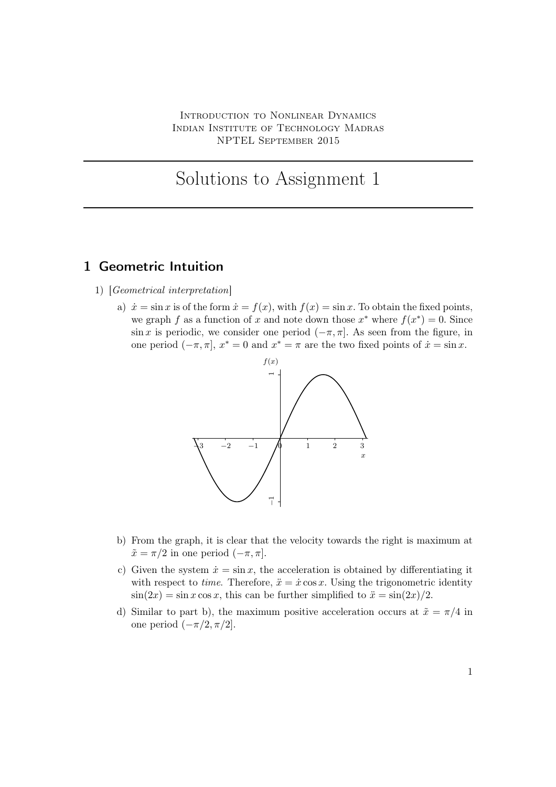Introduction to Nonlinear Dynamics Indian Institute of Technology Madras NPTEL September 2015

## Solutions to Assignment 1

## 1 Geometric Intuition

- 1) [Geometrical interpretation]
	- a)  $\dot{x} = \sin x$  is of the form  $\dot{x} = f(x)$ , with  $f(x) = \sin x$ . To obtain the fixed points, we graph f as a function of x and note down those  $x^*$  where  $f(x^*) = 0$ . Since  $\sin x$  is periodic, we consider one period  $(-\pi, \pi]$ . As seen from the figure, in one period  $(-\pi, \pi]$ ,  $x^* = 0$  and  $x^* = \pi$  are the two fixed points of  $\dot{x} = \sin x$ .



- b) From the graph, it is clear that the velocity towards the right is maximum at  $\tilde{x} = \pi/2$  in one period  $(-\pi, \pi]$ .
- c) Given the system  $\dot{x} = \sin x$ , the acceleration is obtained by differentiating it with respect to *time*. Therefore,  $\ddot{x} = \dot{x} \cos x$ . Using the trigonometric identity  $\sin(2x) = \sin x \cos x$ , this can be further simplified to  $\ddot{x} = \sin(2x)/2$ .
- d) Similar to part b), the maximum positive acceleration occurs at  $\tilde{x} = \pi/4$  in one period  $(-\pi/2, \pi/2]$ .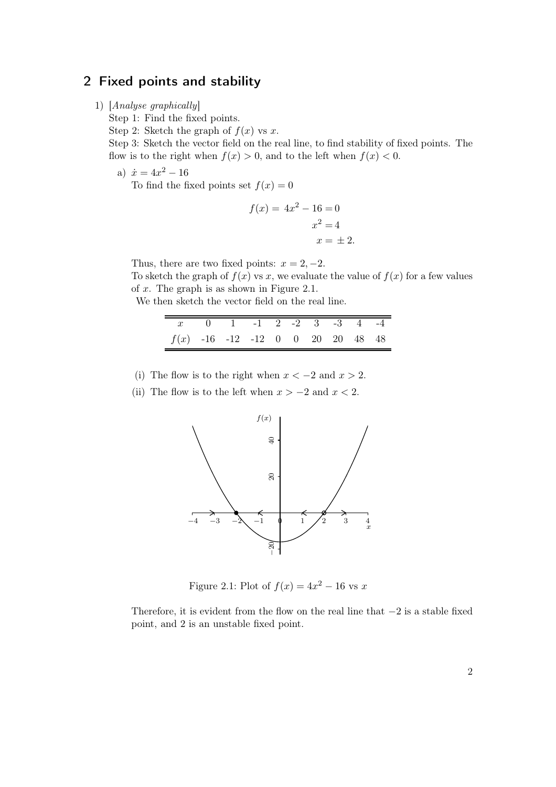## 2 Fixed points and stability

1) [Analyse graphically]

Step 1: Find the fixed points.

Step 2: Sketch the graph of  $f(x)$  vs x.

Step 3: Sketch the vector field on the real line, to find stability of fixed points. The flow is to the right when  $f(x) > 0$ , and to the left when  $f(x) < 0$ .

a)  $\dot{x} = 4x^2 - 16$ 

To find the fixed points set  $f(x) = 0$ 

$$
f(x) = 4x2 - 16 = 0
$$

$$
x2 = 4
$$

$$
x = \pm 2.
$$

Thus, there are two fixed points:  $x = 2, -2$ .

To sketch the graph of  $f(x)$  vs x, we evaluate the value of  $f(x)$  for a few values of x. The graph is as shown in Figure 2.1.

We then sketch the vector field on the real line.

| $x = 0$ 1 -1 2 -2 3 -3 4 -4        |  |  |  |  |  |
|------------------------------------|--|--|--|--|--|
| $f(x)$ -16 -12 -12 0 0 20 20 48 48 |  |  |  |  |  |

- (i) The flow is to the right when  $x < -2$  and  $x > 2$ .
- (ii) The flow is to the left when  $x > -2$  and  $x < 2$ .



Figure 2.1: Plot of  $f(x) = 4x^2 - 16$  vs x

Therefore, it is evident from the flow on the real line that  $-2$  is a stable fixed point, and 2 is an unstable fixed point.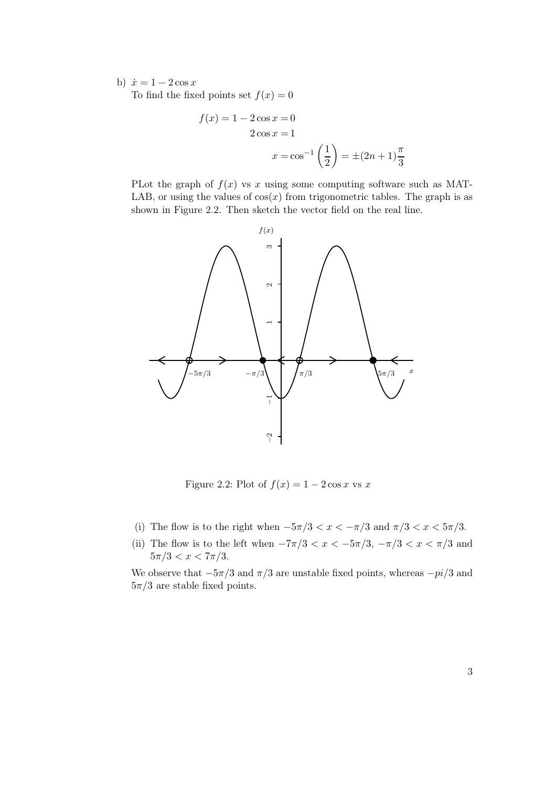b)  $\dot{x} = 1 - 2\cos x$ 

To find the fixed points set  $f(x) = 0$ 

$$
f(x) = 1 - 2\cos x = 0
$$
  
2 cos x = 1  

$$
x = \cos^{-1}\left(\frac{1}{2}\right) = \pm (2n + 1)\frac{\pi}{3}
$$

PLot the graph of  $f(x)$  vs x using some computing software such as MAT-LAB, or using the values of  $cos(x)$  from trigonometric tables. The graph is as shown in Figure 2.2. Then sketch the vector field on the real line.



Figure 2.2: Plot of  $f(x) = 1 - 2\cos x$  vs x

- (i) The flow is to the right when  $-5\pi/3 < x < -\pi/3$  and  $\pi/3 < x < 5\pi/3$ .
- (ii) The flow is to the left when  $-7\pi/3 < x < -5\pi/3$ ,  $-\pi/3 < x < \pi/3$  and  $5\pi/3 < x < 7\pi/3$ .

We observe that  $-5\pi/3$  and  $\pi/3$  are unstable fixed points, whereas  $-pi/3$  and  $5\pi/3$  are stable fixed points.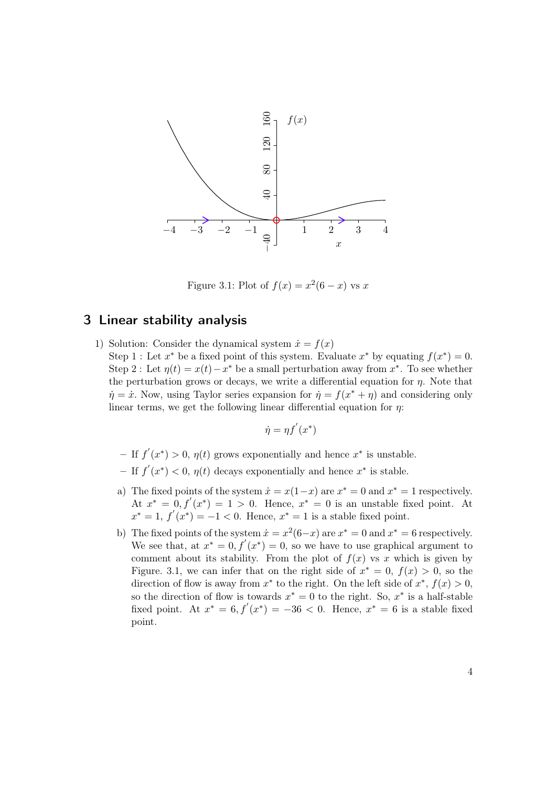

Figure 3.1: Plot of  $f(x) = x^2(6-x)$  vs x

## 3 Linear stability analysis

1) Solution: Consider the dynamical system  $\dot{x} = f(x)$ Step 1 : Let  $x^*$  be a fixed point of this system. Evaluate  $x^*$  by equating  $f(x^*) = 0$ . Step 2 : Let  $\eta(t) = x(t) - x^*$  be a small perturbation away from  $x^*$ . To see whether the perturbation grows or decays, we write a differential equation for  $\eta$ . Note that  $\dot{\eta} = \dot{x}$ . Now, using Taylor series expansion for  $\dot{\eta} = f(x^* + \eta)$  and considering only linear terms, we get the following linear differential equation for  $\eta$ :

$$
\dot{\eta} = \eta f'(x^*)
$$

- − If  $f'(x^*) > 0$ ,  $\eta(t)$  grows exponentially and hence  $x^*$  is unstable.
- − If  $f'(x^*)$  < 0,  $η(t)$  decays exponentially and hence  $x^*$  is stable.
- a) The fixed points of the system  $\dot{x} = x(1-x)$  are  $x^* = 0$  and  $x^* = 1$  respectively. At  $x^* = 0, f'(x^*) = 1 > 0$ . Hence,  $x^* = 0$  is an unstable fixed point. At  $x^* = 1, f'(x^*) = -1 < 0.$  Hence,  $x^* = 1$  is a stable fixed point.
- b) The fixed points of the system  $\dot{x} = x^2(6-x)$  are  $x^* = 0$  and  $x^* = 6$  respectively. We see that, at  $x^* = 0, f'(x^*) = 0$ , so we have to use graphical argument to comment about its stability. From the plot of  $f(x)$  vs x which is given by Figure. 3.1, we can infer that on the right side of  $x^* = 0$ ,  $f(x) > 0$ , so the direction of flow is away from  $x^*$  to the right. On the left side of  $x^*$ ,  $f(x) > 0$ , so the direction of flow is towards  $x^* = 0$  to the right. So,  $x^*$  is a half-stable fixed point. At  $x^* = 6$ ,  $f'(x^*) = -36 < 0$ . Hence,  $x^* = 6$  is a stable fixed point.